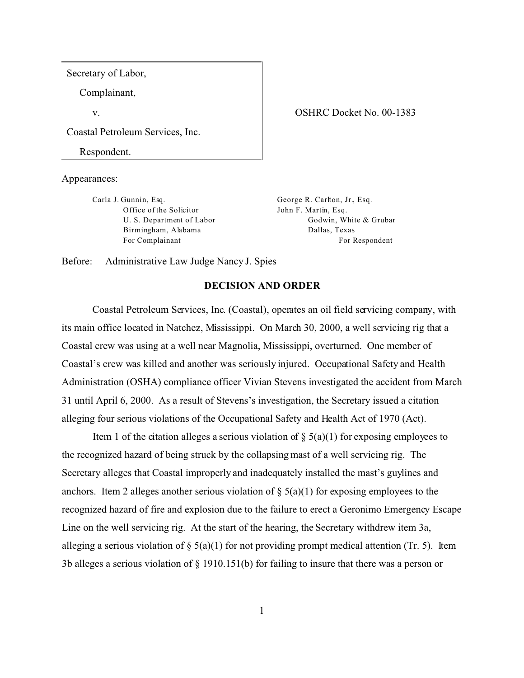Secretary of Labor,

Complainant,

v.

Coastal Petroleum Services, Inc.

Respondent.

Appearances:

Carla J. Gunnin, Esq. Office of the Solicitor U. S. Department of Labor Birmingham, Alabama For Complainant

George R. Carlton, Jr., Esq. John F. Martin, Esq. Godwin, White & Grubar Dallas, Texas

For Respondent

Before: Administrative Law Judge Nancy J. Spies

## **DECISION AND ORDER**

Coastal Petroleum Services, Inc. (Coastal), operates an oil field servicing company, with its main office located in Natchez, Mississippi. On March 30, 2000, a well servicing rig that a Coastal crew was using at a well near Magnolia, Mississippi, overturned. One member of Coastal's crew was killed and another was seriously injured. Occupational Safety and Health Administration (OSHA) compliance officer Vivian Stevens investigated the accident from March 31 until April 6, 2000. As a result of Stevens's investigation, the Secretary issued a citation alleging four serious violations of the Occupational Safety and Health Act of 1970 (Act).

Item 1 of the citation alleges a serious violation of  $\S$  5(a)(1) for exposing employees to the recognized hazard of being struck by the collapsing mast of a well servicing rig. The Secretary alleges that Coastal improperly and inadequately installed the mast's guylines and anchors. Item 2 alleges another serious violation of  $\S(5a)(1)$  for exposing employees to the recognized hazard of fire and explosion due to the failure to erect a Geronimo Emergency Escape Line on the well servicing rig. At the start of the hearing, the Secretary withdrew item 3a, alleging a serious violation of  $\S$  5(a)(1) for not providing prompt medical attention (Tr. 5). Item 3b alleges a serious violation of § 1910.151(b) for failing to insure that there was a person or

## OSHRC Docket No. 00-1383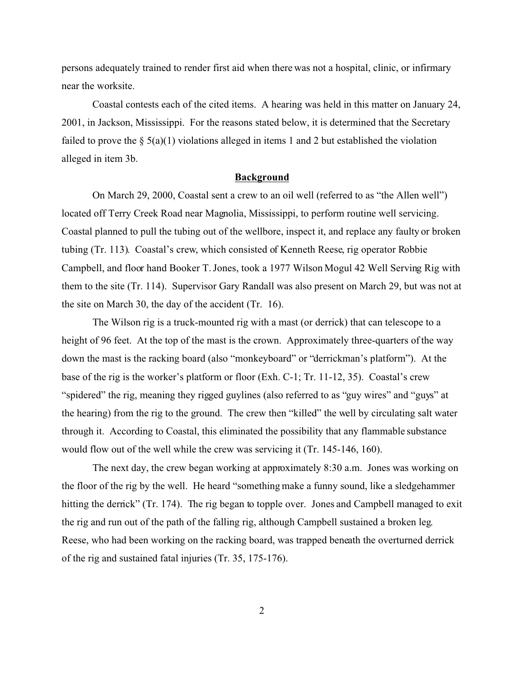persons adequately trained to render first aid when there was not a hospital, clinic, or infirmary near the worksite.

Coastal contests each of the cited items. A hearing was held in this matter on January 24, 2001, in Jackson, Mississippi. For the reasons stated below, it is determined that the Secretary failed to prove the  $\S$  5(a)(1) violations alleged in items 1 and 2 but established the violation alleged in item 3b.

## **Background**

On March 29, 2000, Coastal sent a crew to an oil well (referred to as "the Allen well") located off Terry Creek Road near Magnolia, Mississippi, to perform routine well servicing. Coastal planned to pull the tubing out of the wellbore, inspect it, and replace any faulty or broken tubing (Tr. 113). Coastal's crew, which consisted of Kenneth Reese, rig operator Robbie Campbell, and floor hand Booker T. Jones, took a 1977 Wilson Mogul 42 Well Serving Rig with them to the site (Tr. 114). Supervisor Gary Randall was also present on March 29, but was not at the site on March 30, the day of the accident (Tr. 16).

The Wilson rig is a truck-mounted rig with a mast (or derrick) that can telescope to a height of 96 feet. At the top of the mast is the crown. Approximately three-quarters of the way down the mast is the racking board (also "monkeyboard" or "derrickman's platform"). At the base of the rig is the worker's platform or floor (Exh. C-1; Tr. 11-12, 35). Coastal's crew "spidered" the rig, meaning they rigged guylines (also referred to as "guy wires" and "guys" at the hearing) from the rig to the ground. The crew then "killed" the well by circulating salt water through it. According to Coastal, this eliminated the possibility that any flammable substance would flow out of the well while the crew was servicing it (Tr. 145-146, 160).

The next day, the crew began working at approximately 8:30 a.m. Jones was working on the floor of the rig by the well. He heard "something make a funny sound, like a sledgehammer hitting the derrick" (Tr. 174). The rig began to topple over. Jones and Campbell managed to exit the rig and run out of the path of the falling rig, although Campbell sustained a broken leg. Reese, who had been working on the racking board, was trapped beneath the overturned derrick of the rig and sustained fatal injuries (Tr. 35, 175-176).

2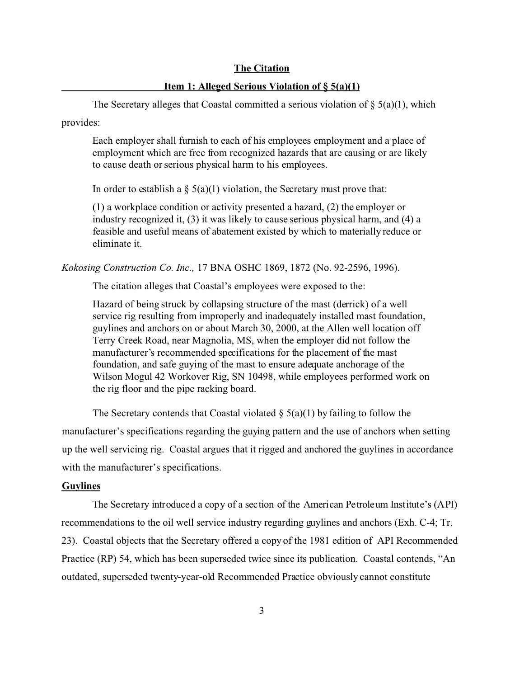# **The Citation**

## **Item 1: Alleged Serious Violation of § 5(a)(1)**

The Secretary alleges that Coastal committed a serious violation of  $\S$  5(a)(1), which provides:

Each employer shall furnish to each of his employees employment and a place of employment which are free from recognized hazards that are causing or are likely to cause death or serious physical harm to his employees.

In order to establish a  $\S$  5(a)(1) violation, the Secretary must prove that:

(1) a workplace condition or activity presented a hazard, (2) the employer or industry recognized it, (3) it was likely to cause serious physical harm, and (4) a feasible and useful means of abatement existed by which to materially reduce or eliminate it.

*Kokosing Construction Co. Inc.,* 17 BNA OSHC 1869, 1872 (No. 92-2596, 1996).

The citation alleges that Coastal's employees were exposed to the:

Hazard of being struck by collapsing structure of the mast (derrick) of a well service rig resulting from improperly and inadequately installed mast foundation, guylines and anchors on or about March 30, 2000, at the Allen well location off Terry Creek Road, near Magnolia, MS, when the employer did not follow the manufacturer's recommended specifications for the placement of the mast foundation, and safe guying of the mast to ensure adequate anchorage of the Wilson Mogul 42 Workover Rig, SN 10498, while employees performed work on the rig floor and the pipe racking board.

The Secretary contends that Coastal violated  $\S$  5(a)(1) by failing to follow the manufacturer's specifications regarding the guying pattern and the use of anchors when setting up the well servicing rig. Coastal argues that it rigged and anchored the guylines in accordance with the manufacturer's specifications.

### **Guylines**

The Secretary introduced a copy of a section of the American Petroleum Institute's (API) recommendations to the oil well service industry regarding guylines and anchors (Exh. C-4; Tr. 23). Coastal objects that the Secretary offered a copy of the 1981 edition of API Recommended Practice (RP) 54, which has been superseded twice since its publication. Coastal contends, "An outdated, superseded twenty-year-old Recommended Practice obviously cannot constitute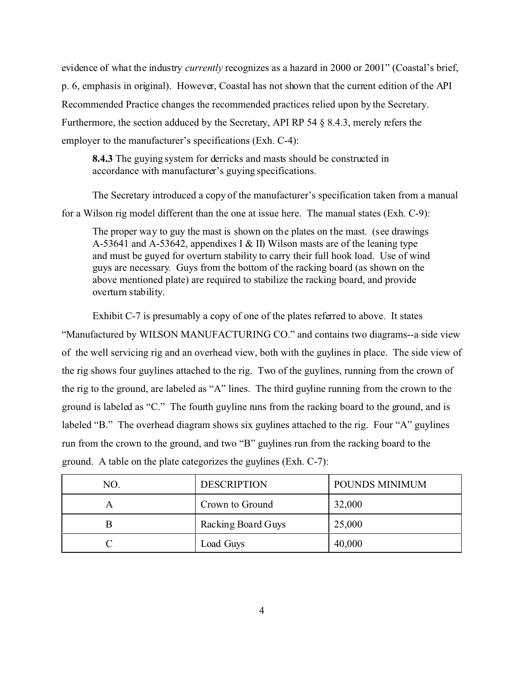evidence of what the industry *currently* recognizes as a hazard in 2000 or 2001" (Coastal's brief, p. 6, emphasis in original). However, Coastal has not shown that the current edition of the API Recommended Practice changes the recommended practices relied upon by the Secretary. Furthermore, the section adduced by the Secretary, API RP 54 § 8.4.3, merely refers the employer to the manufacturer's specifications (Exh. C-4):

**8.4.3** The guying system for derricks and masts should be constructed in accordance with manufacturer's guying specifications.

The Secretary introduced a copy of the manufacturer's specification taken from a manual for a Wilson rig model different than the one at issue here. The manual states (Exh. C-9):

The proper way to guy the mast is shown on the plates on the mast. (see drawings A-53641 and A-53642, appendixes I & II) Wilson masts are of the leaning type and must be guyed for overturn stability to carry their full hook load. Use of wind guys are necessary. Guys from the bottom of the racking board (as shown on the above mentioned plate) are required to stabilize the racking board, and provide overturn stability.

Exhibit C-7 is presumably a copy of one of the plates referred to above. It states "Manufactured by WILSON MANUFACTURING CO." and contains two diagrams--a side view of the well servicing rig and an overhead view, both with the guylines in place. The side view of the rig shows four guylines attached to the rig. Two of the guylines, running from the crown of the rig to the ground, are labeled as "A" lines. The third guyline running from the crown to the ground is labeled as "C." The fourth guyline runs from the racking board to the ground, and is labeled "B." The overhead diagram shows six guylines attached to the rig. Four "A" guylines run from the crown to the ground, and two "B" guylines run from the racking board to the ground. A table on the plate categorizes the guylines (Exh. C-7):

| NO. | <b>DESCRIPTION</b> | POUNDS MINIMUM |
|-----|--------------------|----------------|
|     | Crown to Ground    | 32,000         |
| B   | Racking Board Guys | 25,000         |
|     | Load Guys          | 40,000         |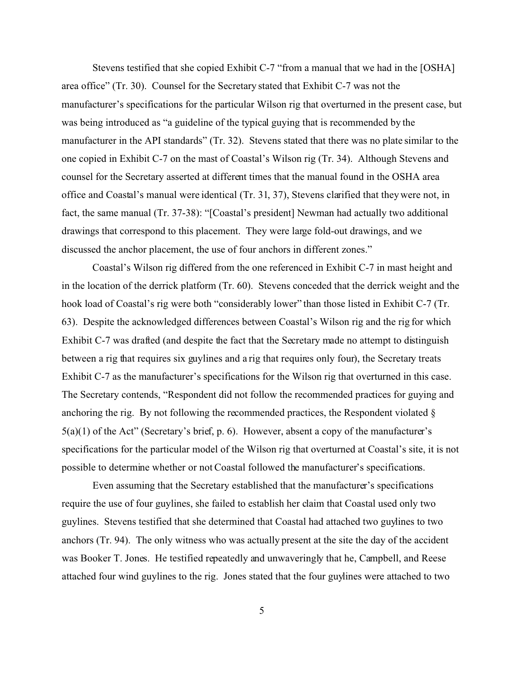Stevens testified that she copied Exhibit C-7 "from a manual that we had in the [OSHA] area office" (Tr. 30). Counsel for the Secretary stated that Exhibit C-7 was not the manufacturer's specifications for the particular Wilson rig that overturned in the present case, but was being introduced as "a guideline of the typical guying that is recommended by the manufacturer in the API standards" (Tr. 32). Stevens stated that there was no plate similar to the one copied in Exhibit C-7 on the mast of Coastal's Wilson rig (Tr. 34). Although Stevens and counsel for the Secretary asserted at different times that the manual found in the OSHA area office and Coastal's manual were identical (Tr. 31, 37), Stevens clarified that they were not, in fact, the same manual (Tr. 37-38): "[Coastal's president] Newman had actually two additional drawings that correspond to this placement. They were large fold-out drawings, and we discussed the anchor placement, the use of four anchors in different zones."

Coastal's Wilson rig differed from the one referenced in Exhibit C-7 in mast height and in the location of the derrick platform (Tr. 60). Stevens conceded that the derrick weight and the hook load of Coastal's rig were both "considerably lower" than those listed in Exhibit C-7 (Tr. 63). Despite the acknowledged differences between Coastal's Wilson rig and the rig for which Exhibit C-7 was drafted (and despite the fact that the Secretary made no attempt to distinguish between a rig that requires six guylines and a rig that requires only four), the Secretary treats Exhibit C-7 as the manufacturer's specifications for the Wilson rig that overturned in this case. The Secretary contends, "Respondent did not follow the recommended practices for guying and anchoring the rig. By not following the recommended practices, the Respondent violated §  $5(a)(1)$  of the Act" (Secretary's brief, p. 6). However, absent a copy of the manufacturer's specifications for the particular model of the Wilson rig that overturned at Coastal's site, it is not possible to determine whether or not Coastal followed the manufacturer's specifications.

Even assuming that the Secretary established that the manufacturer's specifications require the use of four guylines, she failed to establish her claim that Coastal used only two guylines. Stevens testified that she determined that Coastal had attached two guylines to two anchors (Tr. 94). The only witness who was actually present at the site the day of the accident was Booker T. Jones. He testified repeatedly and unwaveringly that he, Campbell, and Reese attached four wind guylines to the rig. Jones stated that the four guylines were attached to two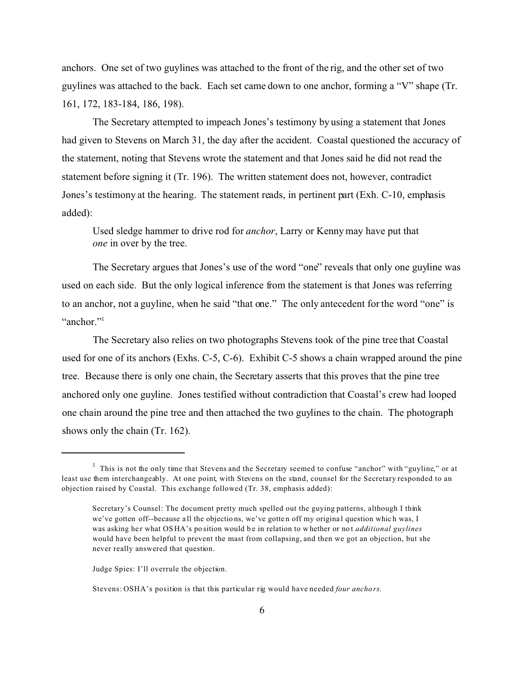anchors. One set of two guylines was attached to the front of the rig, and the other set of two guylines was attached to the back. Each set came down to one anchor, forming a "V" shape (Tr. 161, 172, 183-184, 186, 198).

The Secretary attempted to impeach Jones's testimony by using a statement that Jones had given to Stevens on March 31, the day after the accident. Coastal questioned the accuracy of the statement, noting that Stevens wrote the statement and that Jones said he did not read the statement before signing it (Tr. 196). The written statement does not, however, contradict Jones's testimony at the hearing. The statement reads, in pertinent part (Exh. C-10, emphasis added):

Used sledge hammer to drive rod for *anchor*, Larry or Kenny may have put that *one* in over by the tree.

The Secretary argues that Jones's use of the word "one" reveals that only one guyline was used on each side. But the only logical inference from the statement is that Jones was referring to an anchor, not a guyline, when he said "that one." The only antecedent for the word "one" is "anchor"<sup>1</sup>

The Secretary also relies on two photographs Stevens took of the pine tree that Coastal used for one of its anchors (Exhs. C-5, C-6). Exhibit C-5 shows a chain wrapped around the pine tree. Because there is only one chain, the Secretary asserts that this proves that the pine tree anchored only one guyline. Jones testified without contradiction that Coastal's crew had looped one chain around the pine tree and then attached the two guylines to the chain. The photograph shows only the chain (Tr. 162).

Judge Spies: I'll overrule the objection.

Stevens: OSHA's position is that this particular rig would have needed *four ancho rs.* 

<sup>&</sup>lt;sup>1</sup> This is not the only time that Stevens and the Secretary seemed to confuse "anchor" with "guyline," or at least use them interchangeably. At one point, with Stevens on the stand, counsel for the Secretary responded to an objection raised by Coastal. This exchange followed (Tr. 38, emphasis added):

Secretary's Counsel: The document pretty much spelled out the guying patterns, although I think we've gotten off--because all the objections, we've gotten off my original question which was, I was asking her what OSHA's position would be in relation to whether or not *additional guylines* would have been helpful to prevent the mast from collapsing, and then we got an objection, but she never really answered that question.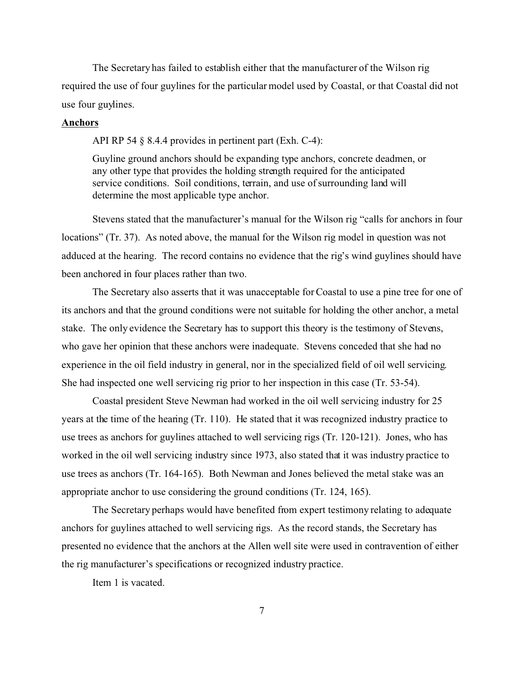The Secretary has failed to establish either that the manufacturer of the Wilson rig required the use of four guylines for the particular model used by Coastal, or that Coastal did not use four guylines.

# **Anchors**

API RP 54 § 8.4.4 provides in pertinent part (Exh. C-4):

Guyline ground anchors should be expanding type anchors, concrete deadmen, or any other type that provides the holding strength required for the anticipated service conditions. Soil conditions, terrain, and use of surrounding land will determine the most applicable type anchor.

Stevens stated that the manufacturer's manual for the Wilson rig "calls for anchors in four locations" (Tr. 37). As noted above, the manual for the Wilson rig model in question was not adduced at the hearing. The record contains no evidence that the rig's wind guylines should have been anchored in four places rather than two.

The Secretary also asserts that it was unacceptable for Coastal to use a pine tree for one of its anchors and that the ground conditions were not suitable for holding the other anchor, a metal stake. The only evidence the Secretary has to support this theory is the testimony of Stevens, who gave her opinion that these anchors were inadequate. Stevens conceded that she had no experience in the oil field industry in general, nor in the specialized field of oil well servicing. She had inspected one well servicing rig prior to her inspection in this case (Tr. 53-54).

Coastal president Steve Newman had worked in the oil well servicing industry for 25 years at the time of the hearing (Tr. 110). He stated that it was recognized industry practice to use trees as anchors for guylines attached to well servicing rigs (Tr. 120-121). Jones, who has worked in the oil well servicing industry since 1973, also stated that it was industry practice to use trees as anchors (Tr. 164-165). Both Newman and Jones believed the metal stake was an appropriate anchor to use considering the ground conditions (Tr. 124, 165).

The Secretary perhaps would have benefited from expert testimony relating to adequate anchors for guylines attached to well servicing rigs. As the record stands, the Secretary has presented no evidence that the anchors at the Allen well site were used in contravention of either the rig manufacturer's specifications or recognized industry practice.

Item 1 is vacated.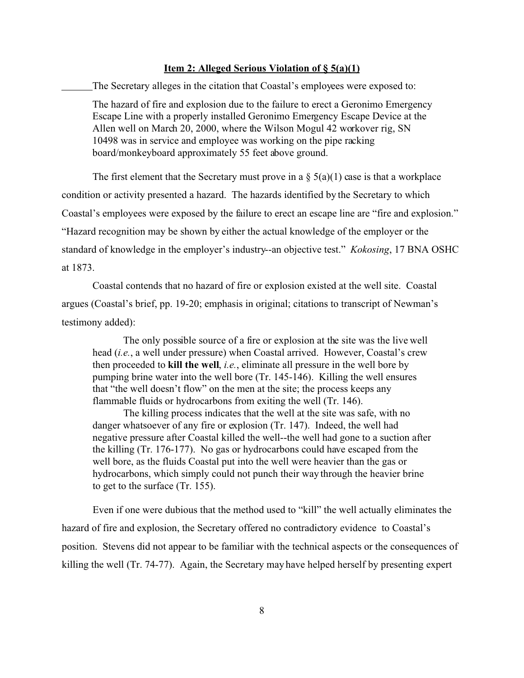#### **Item 2: Alleged Serious Violation of § 5(a)(1)**

The Secretary alleges in the citation that Coastal's employees were exposed to:

The hazard of fire and explosion due to the failure to erect a Geronimo Emergency Escape Line with a properly installed Geronimo Emergency Escape Device at the Allen well on March 20, 2000, where the Wilson Mogul 42 workover rig, SN 10498 was in service and employee was working on the pipe racking board/monkeyboard approximately 55 feet above ground.

The first element that the Secretary must prove in a  $\S$  5(a)(1) case is that a workplace condition or activity presented a hazard. The hazards identified by the Secretary to which Coastal's employees were exposed by the failure to erect an escape line are "fire and explosion." "Hazard recognition may be shown by either the actual knowledge of the employer or the standard of knowledge in the employer's industry--an objective test." *Kokosing*, 17 BNA OSHC at 1873.

Coastal contends that no hazard of fire or explosion existed at the well site. Coastal argues (Coastal's brief, pp. 19-20; emphasis in original; citations to transcript of Newman's testimony added):

The only possible source of a fire or explosion at the site was the live well head (*i.e.*, a well under pressure) when Coastal arrived. However, Coastal's crew then proceeded to **kill the well**, *i.e.*, eliminate all pressure in the well bore by pumping brine water into the well bore (Tr. 145-146). Killing the well ensures that "the well doesn't flow" on the men at the site; the process keeps any flammable fluids or hydrocarbons from exiting the well (Tr. 146).

The killing process indicates that the well at the site was safe, with no danger whatsoever of any fire or explosion (Tr. 147). Indeed, the well had negative pressure after Coastal killed the well--the well had gone to a suction after the killing (Tr. 176-177). No gas or hydrocarbons could have escaped from the well bore, as the fluids Coastal put into the well were heavier than the gas or hydrocarbons, which simply could not punch their way through the heavier brine to get to the surface (Tr. 155).

Even if one were dubious that the method used to "kill" the well actually eliminates the hazard of fire and explosion, the Secretary offered no contradictory evidence to Coastal's position. Stevens did not appear to be familiar with the technical aspects or the consequences of killing the well (Tr. 74-77). Again, the Secretary may have helped herself by presenting expert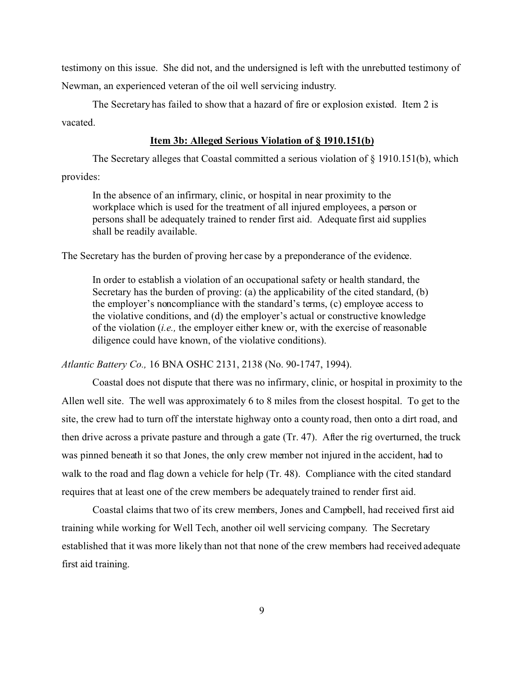testimony on this issue. She did not, and the undersigned is left with the unrebutted testimony of Newman, an experienced veteran of the oil well servicing industry.

The Secretary has failed to show that a hazard of fire or explosion existed. Item 2 is vacated.

# **Item 3b: Alleged Serious Violation of § 1910.151(b)**

The Secretary alleges that Coastal committed a serious violation of § 1910.151(b), which provides:

In the absence of an infirmary, clinic, or hospital in near proximity to the workplace which is used for the treatment of all injured employees, a person or persons shall be adequately trained to render first aid. Adequate first aid supplies shall be readily available.

The Secretary has the burden of proving her case by a preponderance of the evidence.

In order to establish a violation of an occupational safety or health standard, the Secretary has the burden of proving: (a) the applicability of the cited standard, (b) the employer's noncompliance with the standard's terms, (c) employee access to the violative conditions, and (d) the employer's actual or constructive knowledge of the violation (*i.e.,* the employer either knew or, with the exercise of reasonable diligence could have known, of the violative conditions).

*Atlantic Battery Co.,* 16 BNA OSHC 2131, 2138 (No. 90-1747, 1994).

Coastal does not dispute that there was no infirmary, clinic, or hospital in proximity to the Allen well site. The well was approximately 6 to 8 miles from the closest hospital. To get to the site, the crew had to turn off the interstate highway onto a county road, then onto a dirt road, and then drive across a private pasture and through a gate (Tr. 47). After the rig overturned, the truck was pinned beneath it so that Jones, the only crew member not injured in the accident, had to walk to the road and flag down a vehicle for help (Tr. 48). Compliance with the cited standard requires that at least one of the crew members be adequately trained to render first aid.

Coastal claims that two of its crew members, Jones and Campbell, had received first aid training while working for Well Tech, another oil well servicing company. The Secretary established that it was more likely than not that none of the crew members had received adequate first aid training.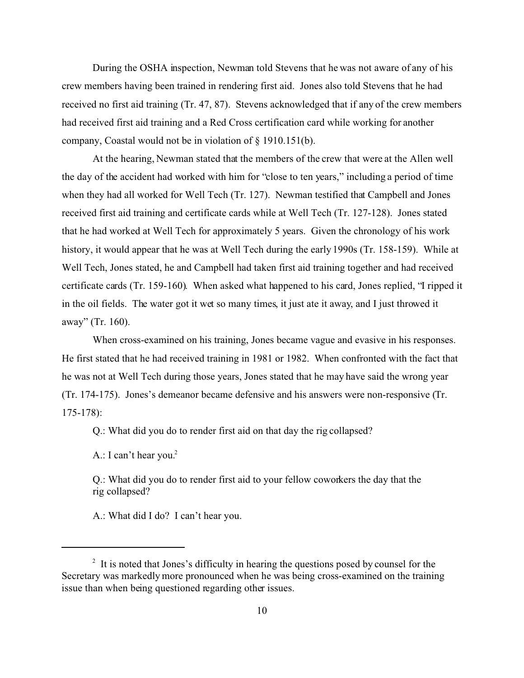During the OSHA inspection, Newman told Stevens that he was not aware of any of his crew members having been trained in rendering first aid. Jones also told Stevens that he had received no first aid training (Tr. 47, 87). Stevens acknowledged that if any of the crew members had received first aid training and a Red Cross certification card while working for another company, Coastal would not be in violation of § 1910.151(b).

At the hearing, Newman stated that the members of the crew that were at the Allen well the day of the accident had worked with him for "close to ten years," including a period of time when they had all worked for Well Tech (Tr. 127). Newman testified that Campbell and Jones received first aid training and certificate cards while at Well Tech (Tr. 127-128). Jones stated that he had worked at Well Tech for approximately 5 years. Given the chronology of his work history, it would appear that he was at Well Tech during the early 1990s (Tr. 158-159). While at Well Tech, Jones stated, he and Campbell had taken first aid training together and had received certificate cards (Tr. 159-160). When asked what happened to his card, Jones replied, "I ripped it in the oil fields. The water got it wet so many times, it just ate it away, and I just throwed it away" (Tr. 160).

When cross-examined on his training, Jones became vague and evasive in his responses. He first stated that he had received training in 1981 or 1982. When confronted with the fact that he was not at Well Tech during those years, Jones stated that he may have said the wrong year (Tr. 174-175). Jones's demeanor became defensive and his answers were non-responsive (Tr. 175-178):

Q.: What did you do to render first aid on that day the rig collapsed?

A.: I can't hear you.<sup>2</sup>

Q.: What did you do to render first aid to your fellow coworkers the day that the rig collapsed?

A.: What did I do? I can't hear you.

<sup>&</sup>lt;sup>2</sup> It is noted that Jones's difficulty in hearing the questions posed by counsel for the Secretary was markedly more pronounced when he was being cross-examined on the training issue than when being questioned regarding other issues.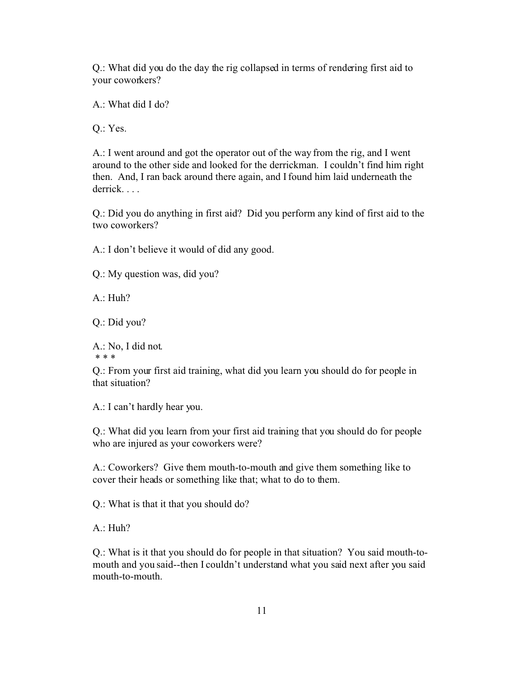Q.: What did you do the day the rig collapsed in terms of rendering first aid to your coworkers?

A.: What did I do?

Q.: Yes.

A.: I went around and got the operator out of the way from the rig, and I went around to the other side and looked for the derrickman. I couldn't find him right then. And, I ran back around there again, and I found him laid underneath the derrick. . . .

Q.: Did you do anything in first aid? Did you perform any kind of first aid to the two coworkers?

A.: I don't believe it would of did any good.

Q.: My question was, did you?

A.: Huh?

Q.: Did you?

A.: No, I did not. \* \* \*

Q.: From your first aid training, what did you learn you should do for people in that situation?

A.: I can't hardly hear you.

Q.: What did you learn from your first aid training that you should do for people who are injured as your coworkers were?

A.: Coworkers? Give them mouth-to-mouth and give them something like to cover their heads or something like that; what to do to them.

Q.: What is that it that you should do?

A.: Huh?

Q.: What is it that you should do for people in that situation? You said mouth-tomouth and you said--then I couldn't understand what you said next after you said mouth-to-mouth.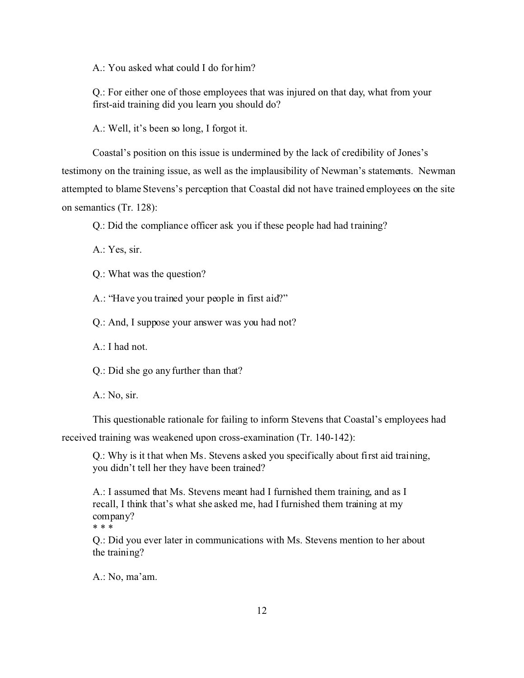A.: You asked what could I do for him?

Q.: For either one of those employees that was injured on that day, what from your first-aid training did you learn you should do?

A.: Well, it's been so long, I forgot it.

Coastal's position on this issue is undermined by the lack of credibility of Jones's testimony on the training issue, as well as the implausibility of Newman's statements. Newman attempted to blame Stevens's perception that Coastal did not have trained employees on the site on semantics (Tr. 128):

Q.: Did the compliance officer ask you if these people had had training?

A.: Yes, sir.

Q.: What was the question?

A.: "Have you trained your people in first aid?"

Q.: And, I suppose your answer was you had not?

A.: I had not.

Q.: Did she go any further than that?

A.: No, sir.

This questionable rationale for failing to inform Stevens that Coastal's employees had

received training was weakened upon cross-examination (Tr. 140-142):

Q.: Why is it that when Ms. Stevens asked you specifically about first aid training, you didn't tell her they have been trained?

A.: I assumed that Ms. Stevens meant had I furnished them training, and as I recall, I think that's what she asked me, had I furnished them training at my company? \* \* \*

Q.: Did you ever later in communications with Ms. Stevens mention to her about the training?

A.: No, ma'am.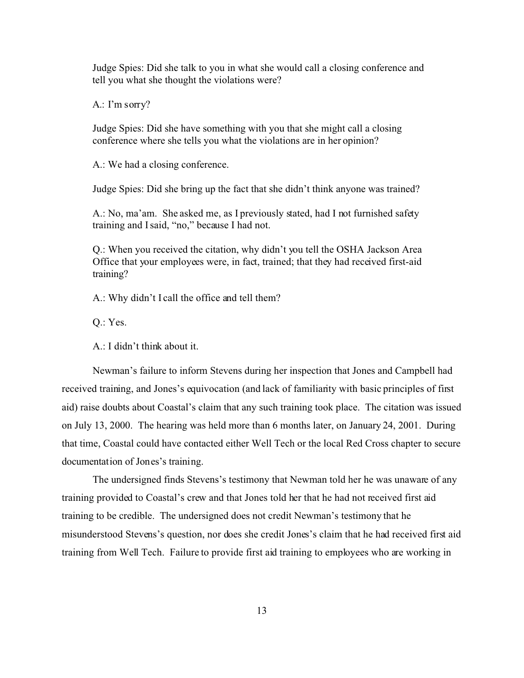Judge Spies: Did she talk to you in what she would call a closing conference and tell you what she thought the violations were?

A.: I'm sorry?

Judge Spies: Did she have something with you that she might call a closing conference where she tells you what the violations are in her opinion?

A.: We had a closing conference.

Judge Spies: Did she bring up the fact that she didn't think anyone was trained?

A.: No, ma'am. She asked me, as I previously stated, had I not furnished safety training and I said, "no," because I had not.

Q.: When you received the citation, why didn't you tell the OSHA Jackson Area Office that your employees were, in fact, trained; that they had received first-aid training?

A.: Why didn't I call the office and tell them?

Q.: Yes.

A.: I didn't think about it.

Newman's failure to inform Stevens during her inspection that Jones and Campbell had received training, and Jones's equivocation (and lack of familiarity with basic principles of first aid) raise doubts about Coastal's claim that any such training took place. The citation was issued on July 13, 2000. The hearing was held more than 6 months later, on January 24, 2001. During that time, Coastal could have contacted either Well Tech or the local Red Cross chapter to secure documentation of Jones's training.

The undersigned finds Stevens's testimony that Newman told her he was unaware of any training provided to Coastal's crew and that Jones told her that he had not received first aid training to be credible. The undersigned does not credit Newman's testimony that he misunderstood Stevens's question, nor does she credit Jones's claim that he had received first aid training from Well Tech. Failure to provide first aid training to employees who are working in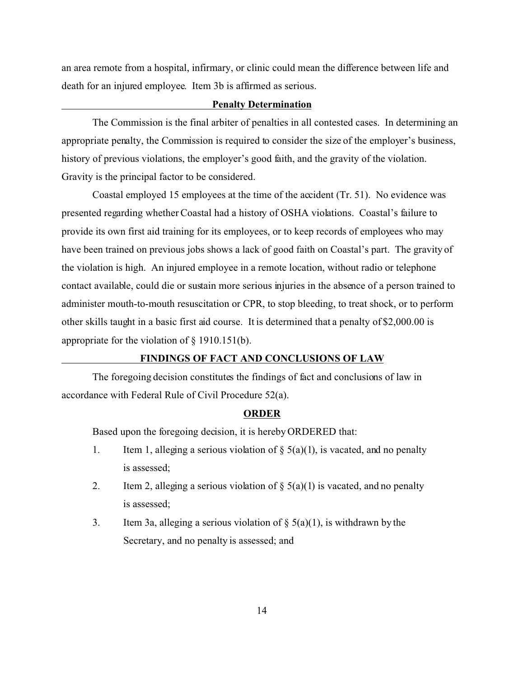an area remote from a hospital, infirmary, or clinic could mean the difference between life and death for an injured employee. Item 3b is affirmed as serious.

## **Penalty Determination**

The Commission is the final arbiter of penalties in all contested cases. In determining an appropriate penalty, the Commission is required to consider the size of the employer's business, history of previous violations, the employer's good faith, and the gravity of the violation. Gravity is the principal factor to be considered.

Coastal employed 15 employees at the time of the accident (Tr. 51). No evidence was presented regarding whether Coastal had a history of OSHA violations. Coastal's failure to provide its own first aid training for its employees, or to keep records of employees who may have been trained on previous jobs shows a lack of good faith on Coastal's part. The gravity of the violation is high. An injured employee in a remote location, without radio or telephone contact available, could die or sustain more serious injuries in the absence of a person trained to administer mouth-to-mouth resuscitation or CPR, to stop bleeding, to treat shock, or to perform other skills taught in a basic first aid course. It is determined that a penalty of \$2,000.00 is appropriate for the violation of § 1910.151(b).

# **FINDINGS OF FACT AND CONCLUSIONS OF LAW**

The foregoing decision constitutes the findings of fact and conclusions of law in accordance with Federal Rule of Civil Procedure 52(a).

#### **ORDER**

Based upon the foregoing decision, it is hereby ORDERED that:

- 1. Item 1, alleging a serious violation of  $\S(5(a)(1))$ , is vacated, and no penalty is assessed;
- 2. Item 2, alleging a serious violation of  $\S$  5(a)(1) is vacated, and no penalty is assessed;
- 3. Item 3a, alleging a serious violation of  $\S$  5(a)(1), is withdrawn by the Secretary, and no penalty is assessed; and